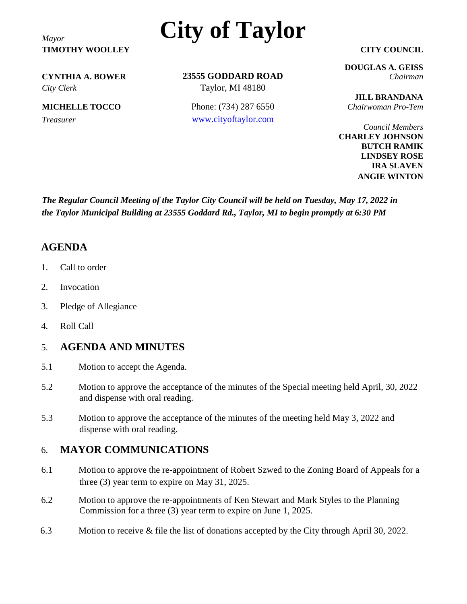**TIMOTHY WOOLLEY CITY COUNCIL**

# *Mayor* **City of Taylor**

*City Clerk* Taylor, MI 48180

**23555 GODDARD ROAD CYNTHIA A. BOWER** *Chairman*

**MICHELLE TOCCO** Phone: (734) 287 6550 *Chairwoman Pro-Tem Treasurer* [www.cityoftaylor.com](http://www.cityoftaylor.com/)

**DOUGLAS A. GEISS**

**JILL BRANDANA**

*Council Members* **CHARLEY JOHNSON BUTCH RAMIK LINDSEY ROSE IRA SLAVEN ANGIE WINTON**

*The Regular Council Meeting of the Taylor City Council will be held on Tuesday, May 17, 2022 in the Taylor Municipal Building at 23555 Goddard Rd., Taylor, MI to begin promptly at 6:30 PM*

### **AGENDA**

- 1. Call to order
- 2. Invocation
- 3. Pledge of Allegiance
- 4. Roll Call

### 5. **AGENDA AND MINUTES**

- 5.1 Motion to accept the Agenda.
- 5.2 Motion to approve the acceptance of the minutes of the Special meeting held April, 30, 2022 and dispense with oral reading.
- 5.3 Motion to approve the acceptance of the minutes of the meeting held May 3, 2022 and dispense with oral reading.

### 6. **MAYOR COMMUNICATIONS**

- 6.1 Motion to approve the re-appointment of Robert Szwed to the Zoning Board of Appeals for a three (3) year term to expire on May 31, 2025.
- 6.2 Motion to approve the re-appointments of Ken Stewart and Mark Styles to the Planning Commission for a three (3) year term to expire on June 1, 2025.
- 6.3 Motion to receive & file the list of donations accepted by the City through April 30, 2022.